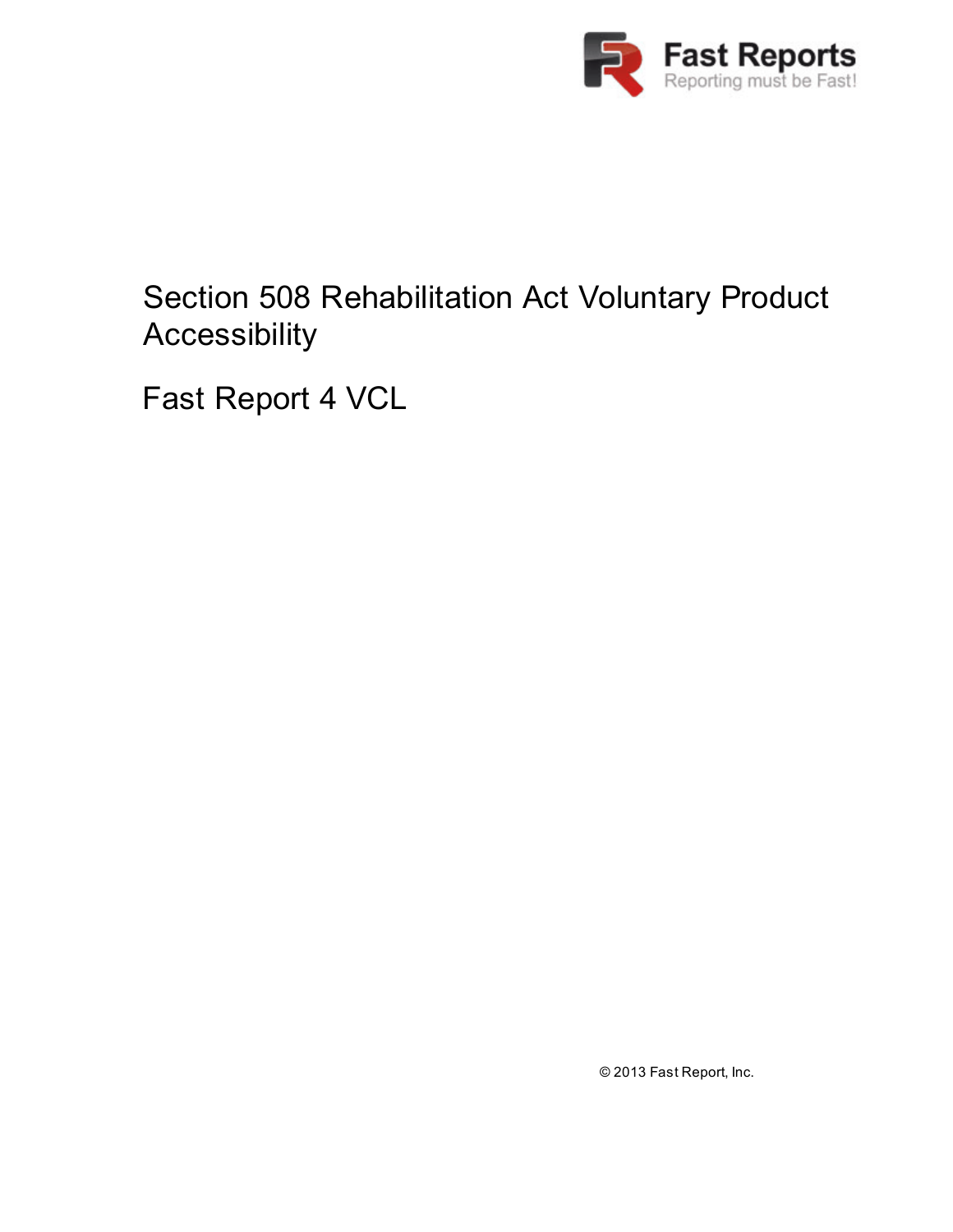

### Section 508 Rehabilitation Act Voluntary Product Accessibility

Fast Report 4 VCL

© 2013 Fast Report, Inc.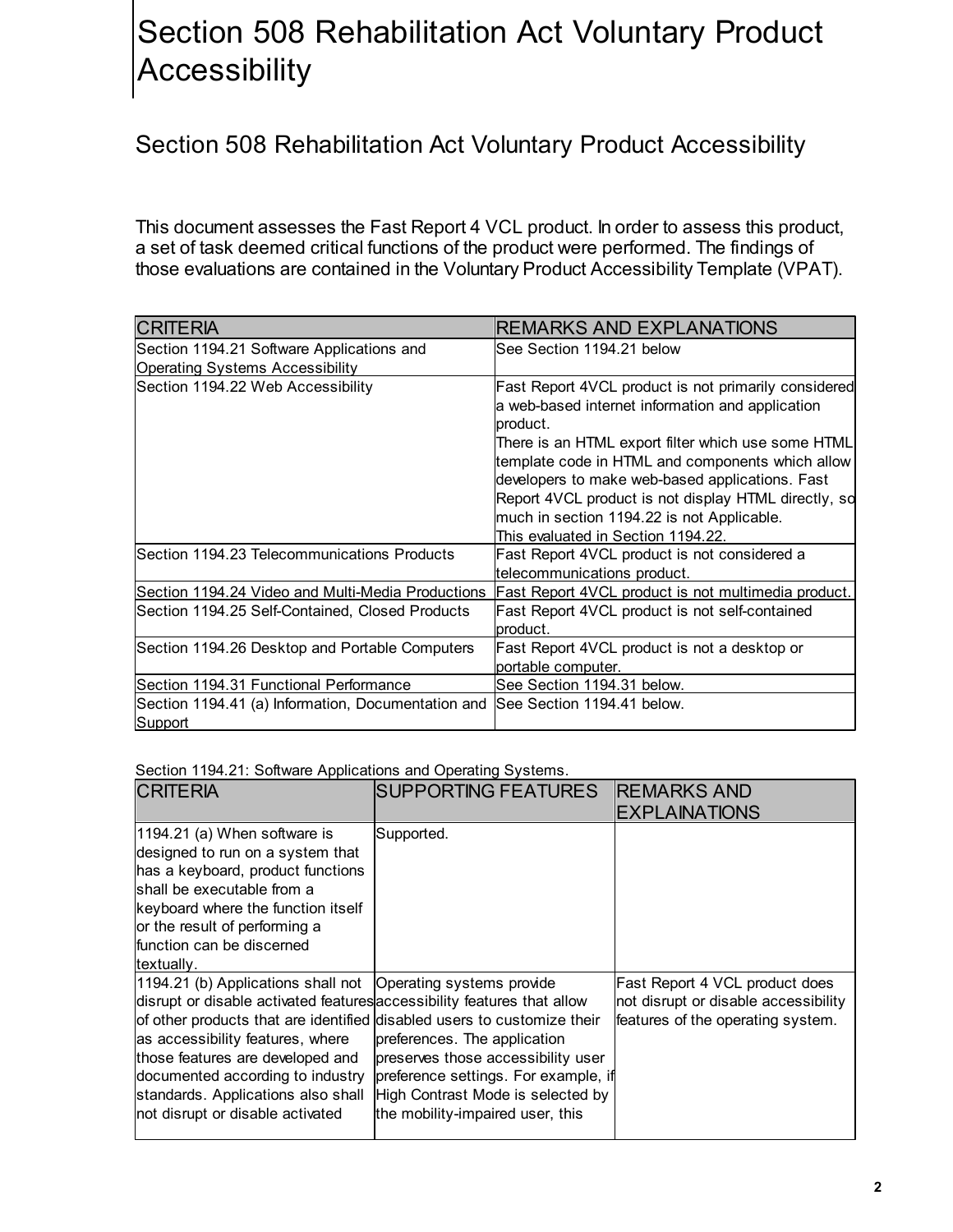# Section 508 Rehabilitation Act Voluntary Product **Accessibility**

#### Section 508 Rehabilitation Act Voluntary Product Accessibility

This document assesses the Fast Report 4 VCL product. In order to assess this product, a set of task deemed critical functions of the product were performed. The findings of those evaluations are contained in the Voluntary Product Accessibility Template (VPAT).

| <b>CRITERIA</b>                                                                          | <b>REMARKS AND EXPLANATIONS</b>                                                                                                                           |
|------------------------------------------------------------------------------------------|-----------------------------------------------------------------------------------------------------------------------------------------------------------|
| Section 1194.21 Software Applications and                                                | lSee Section 1194.21 below                                                                                                                                |
| <b>Operating Systems Accessibility</b>                                                   |                                                                                                                                                           |
| Section 1194.22 Web Accessibility                                                        | Fast Report 4VCL product is not primarily considered<br>a web-based internet information and application<br>product.                                      |
|                                                                                          | There is an HTML export filter which use some HTML<br>template code in HTML and components which allow<br>developers to make web-based applications. Fast |
|                                                                                          | Report 4VCL product is not display HTML directly, so<br>much in section 1194.22 is not Applicable.                                                        |
|                                                                                          | This evaluated in Section 1194.22.                                                                                                                        |
| Section 1194.23 Telecommunications Products                                              | Fast Report 4VCL product is not considered a<br>telecommunications product.                                                                               |
| Section 1194.24 Video and Multi-Media Productions                                        | Fast Report 4VCL product is not multimedia product.                                                                                                       |
| Section 1194.25 Self-Contained, Closed Products                                          | Fast Report 4VCL product is not self-contained<br>product.                                                                                                |
| Section 1194.26 Desktop and Portable Computers                                           | Fast Report 4VCL product is not a desktop or<br>portable computer.                                                                                        |
| Section 1194.31 Functional Performance                                                   | See Section 1194.31 below.                                                                                                                                |
| Section 1194.41 (a) Information, Documentation and See Section 1194.41 below.<br>Support |                                                                                                                                                           |

#### Section 1194.21: Software Applications and Operating Systems.

| <b>CRITERIA</b>                                                                                                                                                                                                                                                                                                                                                                                            | <b>SUPPORTING FEATURES</b>                                                                                                                                                          | <b>REMARKS AND</b><br><b>EXPLAINATIONS</b>                                                                  |
|------------------------------------------------------------------------------------------------------------------------------------------------------------------------------------------------------------------------------------------------------------------------------------------------------------------------------------------------------------------------------------------------------------|-------------------------------------------------------------------------------------------------------------------------------------------------------------------------------------|-------------------------------------------------------------------------------------------------------------|
| 1194.21 (a) When software is<br>designed to run on a system that<br>has a keyboard, product functions<br>Ishall be executable from a<br>keyboard where the function itself<br>or the result of performing a<br>function can be discerned<br>textually.                                                                                                                                                     | Supported.                                                                                                                                                                          |                                                                                                             |
| 1194.21 (b) Applications shall not   Operating systems provide<br>disrupt or disable activated features accessibility features that allow<br>of other products that are identified disabled users to customize their<br>as accessibility features, where<br>those features are developed and<br>documented according to industry<br>standards. Applications also shall<br>not disrupt or disable activated | preferences. The application<br>preserves those accessibility user<br>preference settings. For example, if<br>High Contrast Mode is selected by<br>the mobility-impaired user, this | Fast Report 4 VCL product does<br>not disrupt or disable accessibility<br>features of the operating system. |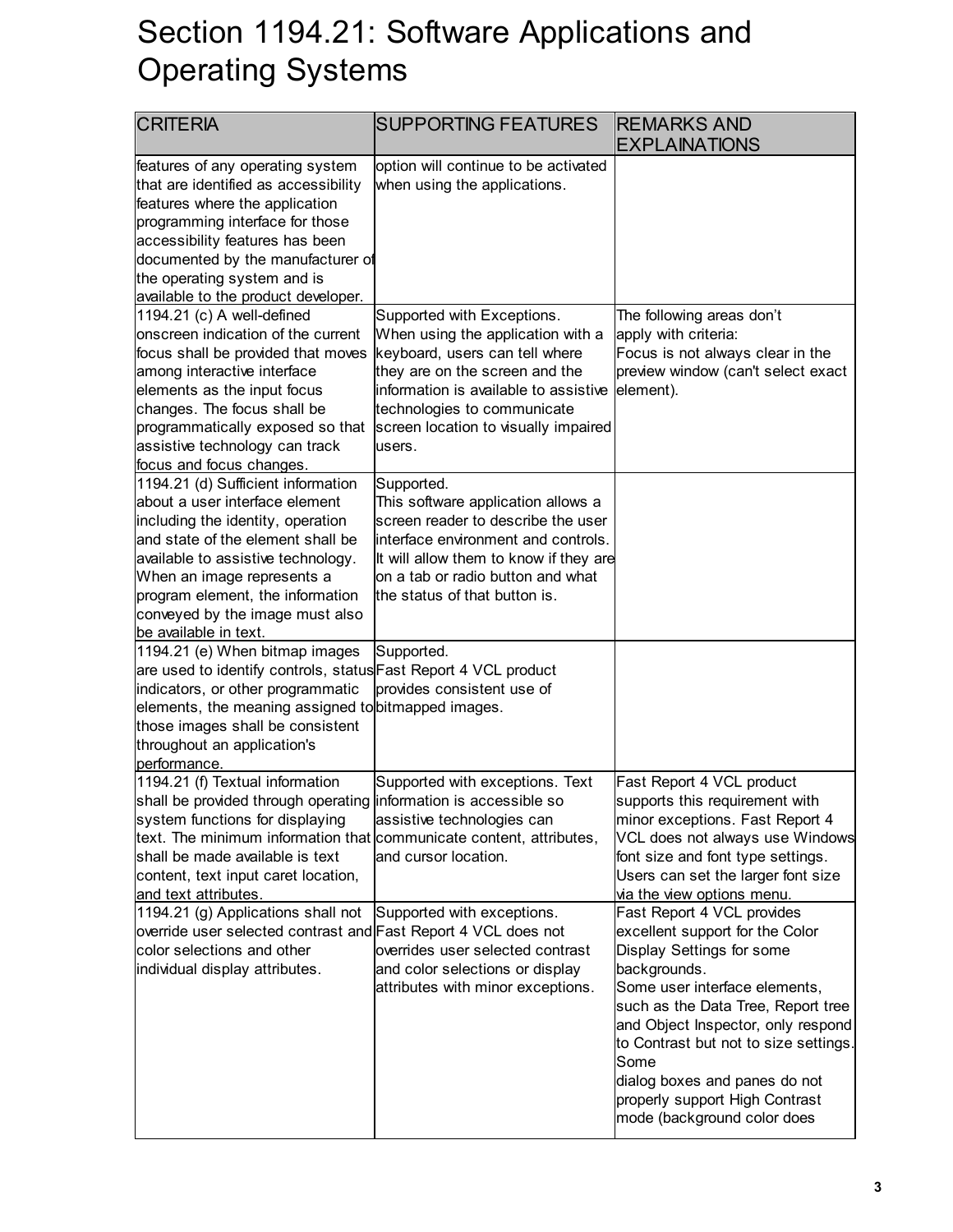#### Section 1194.21: Software Applications and Operating Systems

| <b>CRITERIA</b>                                                                                                                                                                                                                                                                                                    | <b>SUPPORTING FEATURES</b>                                                                                                                                                                                                                                     | <b>REMARKS AND</b><br><b>EXPLAINATIONS</b>                                                                                                                                                                                                                                                                                                                                 |
|--------------------------------------------------------------------------------------------------------------------------------------------------------------------------------------------------------------------------------------------------------------------------------------------------------------------|----------------------------------------------------------------------------------------------------------------------------------------------------------------------------------------------------------------------------------------------------------------|----------------------------------------------------------------------------------------------------------------------------------------------------------------------------------------------------------------------------------------------------------------------------------------------------------------------------------------------------------------------------|
| features of any operating system<br>that are identified as accessibility<br>features where the application<br>programming interface for those<br>accessibility features has been<br>documented by the manufacturer of<br>the operating system and is<br>available to the product developer.                        | option will continue to be activated<br>when using the applications.                                                                                                                                                                                           |                                                                                                                                                                                                                                                                                                                                                                            |
| 1194.21 (c) A well-defined<br>onscreen indication of the current<br>focus shall be provided that moves<br>among interactive interface<br>elements as the input focus<br>changes. The focus shall be<br>programmatically exposed so that<br>assistive technology can track<br>focus and focus changes.              | Supported with Exceptions.<br>When using the application with a<br>keyboard, users can tell where<br>they are on the screen and the<br>information is available to assistive<br>technologies to communicate<br>screen location to visually impaired<br>lusers. | The following areas don't<br>apply with criteria:<br>Focus is not always clear in the<br>preview window (can't select exact<br>element).                                                                                                                                                                                                                                   |
| 1194.21 (d) Sufficient information<br>about a user interface element<br>including the identity, operation<br>and state of the element shall be<br>available to assistive technology.<br>When an image represents a<br>program element, the information<br>conveyed by the image must also<br>be available in text. | Supported.<br>This software application allows a<br>screen reader to describe the user<br>interface environment and controls.<br>It will allow them to know if they are<br>on a tab or radio button and what<br>the status of that button is.                  |                                                                                                                                                                                                                                                                                                                                                                            |
| 1194.21 (e) When bitmap images<br>are used to identify controls, status Fast Report 4 VCL product<br>indicators, or other programmatic<br>elements, the meaning assigned to bitmapped images.<br>those images shall be consistent<br>throughout an application's<br>performance.                                   | Supported.<br>provides consistent use of                                                                                                                                                                                                                       |                                                                                                                                                                                                                                                                                                                                                                            |
| 1194.21 (f) Textual information<br>shall be provided through operating information is accessible so<br>system functions for displaying<br>text. The minimum information that communicate content, attributes,<br>shall be made available is text<br>content, text input caret location,<br>and text attributes.    | Supported with exceptions. Text<br>assistive technologies can<br>and cursor location.                                                                                                                                                                          | Fast Report 4 VCL product<br>supports this requirement with<br>minor exceptions. Fast Report 4<br>VCL does not always use Windows<br>font size and font type settings.<br>Users can set the larger font size<br>via the view options menu.                                                                                                                                 |
| 1194.21 (g) Applications shall not<br>override user selected contrast and Fast Report 4 VCL does not<br>color selections and other<br>individual display attributes.                                                                                                                                               | Supported with exceptions.<br>overrides user selected contrast<br>and color selections or display<br>attributes with minor exceptions.                                                                                                                         | Fast Report 4 VCL provides<br>excellent support for the Color<br>Display Settings for some<br>backgrounds.<br>Some user interface elements,<br>such as the Data Tree, Report tree<br>and Object Inspector, only respond<br>to Contrast but not to size settings.<br>Some<br>dialog boxes and panes do not<br>properly support High Contrast<br>mode (background color does |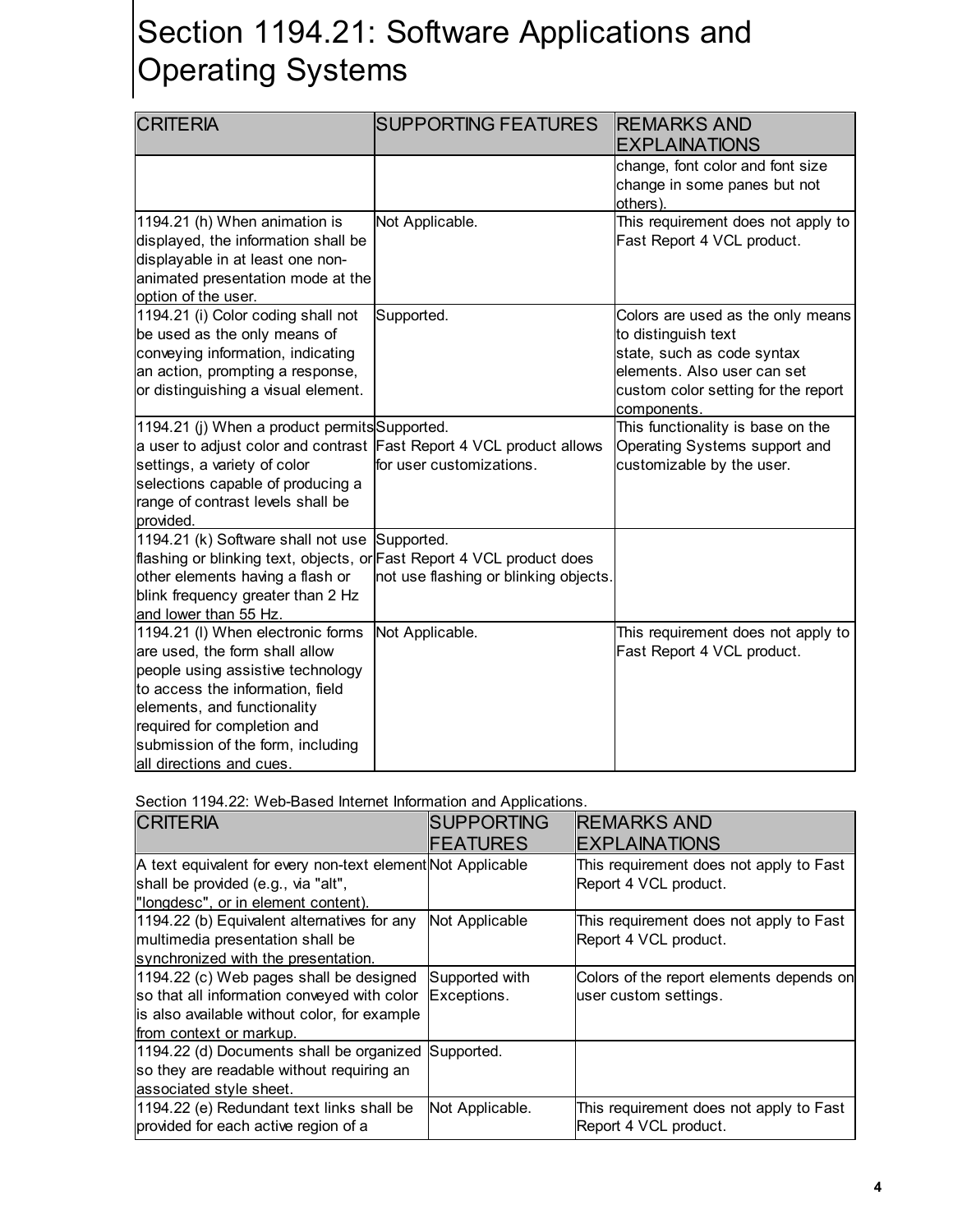## Section 1194.21: Software Applications and Operating Systems

| <b>CRITERIA</b>                                                                                                                                                                                                                                                             | <b>SUPPORTING FEATURES</b>            | <b>REMARKS AND</b><br><b>EXPLAINATIONS</b>                                                                                                                                  |
|-----------------------------------------------------------------------------------------------------------------------------------------------------------------------------------------------------------------------------------------------------------------------------|---------------------------------------|-----------------------------------------------------------------------------------------------------------------------------------------------------------------------------|
|                                                                                                                                                                                                                                                                             |                                       | change, font color and font size<br>change in some panes but not<br>others).                                                                                                |
| 1194.21 (h) When animation is<br>displayed, the information shall be<br>displayable in at least one non-<br>animated presentation mode at the<br>option of the user.                                                                                                        | Not Applicable.                       | This requirement does not apply to<br>Fast Report 4 VCL product.                                                                                                            |
| 1194.21 (i) Color coding shall not<br>be used as the only means of<br>conveying information, indicating<br>an action, prompting a response,<br>or distinguishing a visual element.                                                                                          | Supported.                            | Colors are used as the only means<br>to distinguish text<br>state, such as code syntax<br>elements. Also user can set<br>custom color setting for the report<br>components. |
| 1194.21 (j) When a product permits Supported.<br>a user to adjust color and contrast Fast Report 4 VCL product allows<br>settings, a variety of color<br>selections capable of producing a<br>range of contrast levels shall be<br>provided.                                | for user customizations.              | This functionality is base on the<br>Operating Systems support and<br>customizable by the user.                                                                             |
| 1194.21 (k) Software shall not use Supported.<br>flashing or blinking text, objects, or Fast Report 4 VCL product does<br>other elements having a flash or<br>blink frequency greater than 2 Hz<br>and lower than 55 Hz.                                                    | not use flashing or blinking objects. |                                                                                                                                                                             |
| 1194.21 (I) When electronic forms<br>are used, the form shall allow<br>people using assistive technology<br>to access the information, field<br>elements, and functionality<br>required for completion and<br>submission of the form, including<br>all directions and cues. | Not Applicable.                       | This requirement does not apply to<br>Fast Report 4 VCL product.                                                                                                            |

Section 1194.22: Web-Based Internet Information and Applications.

| <b>CRITERIA</b>                                             | <b>SUPPORTING</b> | <b>REMARKS AND</b>                       |
|-------------------------------------------------------------|-------------------|------------------------------------------|
|                                                             | <b>FEATURES</b>   | <b>EXPLAINATIONS</b>                     |
| A text equivalent for every non-text element Not Applicable |                   | This requirement does not apply to Fast  |
| shall be provided (e.g., via "alt",                         |                   | Report 4 VCL product.                    |
| "longdesc", or in element content).                         |                   |                                          |
| 1194.22 (b) Equivalent alternatives for any                 | Not Applicable    | This requirement does not apply to Fast  |
| multimedia presentation shall be                            |                   | Report 4 VCL product.                    |
| synchronized with the presentation.                         |                   |                                          |
| 1194.22 (c) Web pages shall be designed                     | Supported with    | Colors of the report elements depends on |
| so that all information conveyed with color                 | Exceptions.       | user custom settings.                    |
| is also available without color, for example                |                   |                                          |
| from context or markup.                                     |                   |                                          |
| 1194.22 (d) Documents shall be organized                    | Supported.        |                                          |
| so they are readable without requiring an                   |                   |                                          |
| associated style sheet.                                     |                   |                                          |
| 1194.22 (e) Redundant text links shall be                   | Not Applicable.   | This requirement does not apply to Fast  |
| provided for each active region of a                        |                   | Report 4 VCL product.                    |
|                                                             |                   |                                          |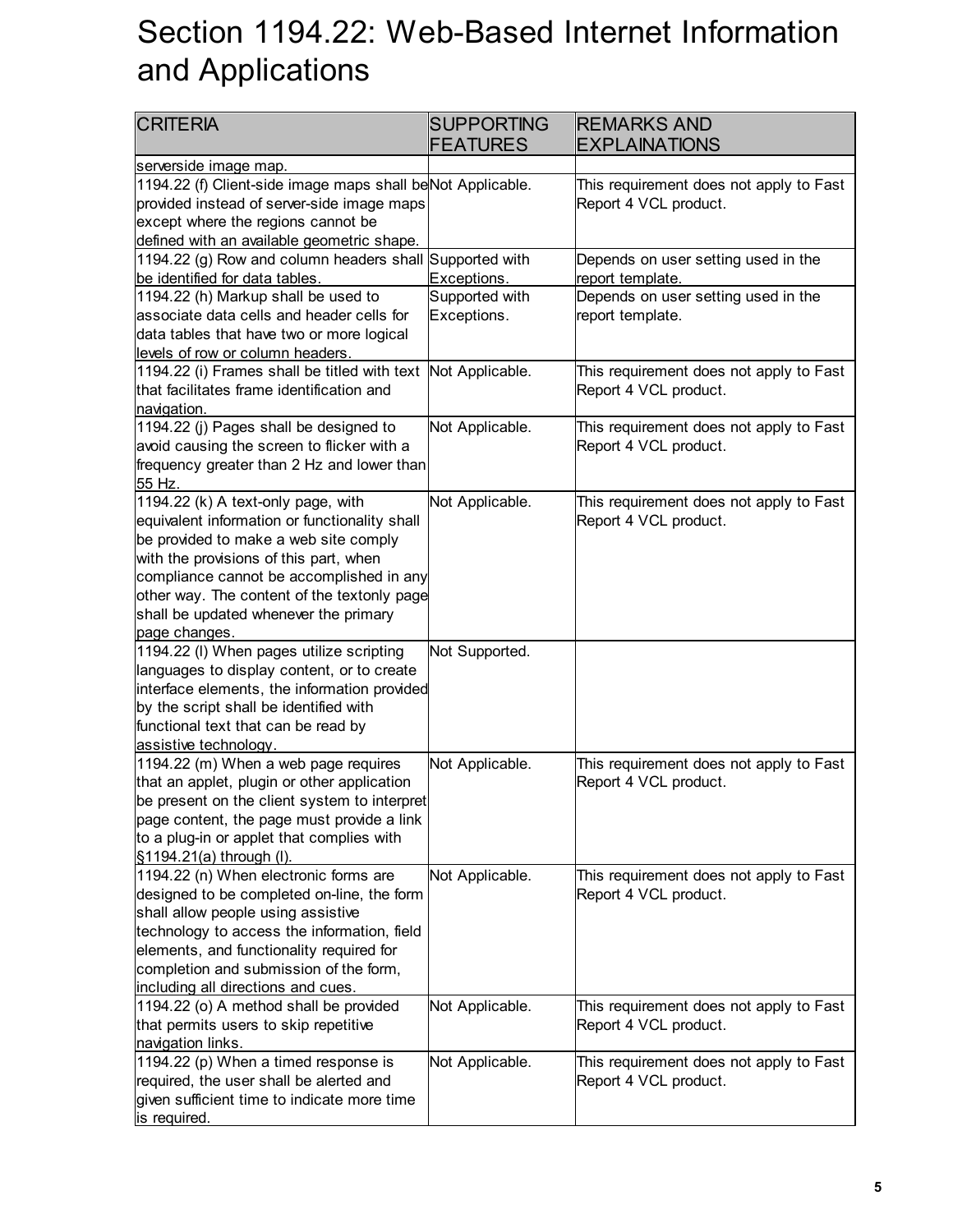# Section 1194.22: Web-Based Internet Information and Applications

| <b>CRITERIA</b>                                                                                                                                                                                                                                                                                                             | <b>SUPPORTING</b><br><b>FEATURES</b> | <b>REMARKS AND</b><br><b>EXPLAINATIONS</b>                       |
|-----------------------------------------------------------------------------------------------------------------------------------------------------------------------------------------------------------------------------------------------------------------------------------------------------------------------------|--------------------------------------|------------------------------------------------------------------|
| serverside image map.                                                                                                                                                                                                                                                                                                       |                                      |                                                                  |
| 1194.22 (f) Client-side image maps shall be Not Applicable.<br>provided instead of server-side image maps<br>except where the regions cannot be<br>defined with an available geometric shape.                                                                                                                               |                                      | This requirement does not apply to Fast<br>Report 4 VCL product. |
| 1194.22 (g) Row and column headers shall<br>be identified for data tables.                                                                                                                                                                                                                                                  | Supported with<br>Exceptions.        | Depends on user setting used in the<br>report template.          |
| 1194.22 (h) Markup shall be used to<br>associate data cells and header cells for<br>data tables that have two or more logical<br>levels of row or column headers.                                                                                                                                                           | Supported with<br>Exceptions.        | Depends on user setting used in the<br>report template.          |
| 1194.22 (i) Frames shall be titled with text<br>that facilitates frame identification and<br>navigation.                                                                                                                                                                                                                    | Not Applicable.                      | This requirement does not apply to Fast<br>Report 4 VCL product. |
| 1194.22 (j) Pages shall be designed to<br>avoid causing the screen to flicker with a<br>frequency greater than 2 Hz and lower than<br>55 Hz.                                                                                                                                                                                | Not Applicable.                      | This requirement does not apply to Fast<br>Report 4 VCL product. |
| 1194.22 (k) A text-only page, with<br>equivalent information or functionality shall<br>be provided to make a web site comply<br>with the provisions of this part, when<br>compliance cannot be accomplished in any<br>other way. The content of the textonly page<br>shall be updated whenever the primary<br>page changes. | Not Applicable.                      | This requirement does not apply to Fast<br>Report 4 VCL product. |
| 1194.22 (I) When pages utilize scripting<br>languages to display content, or to create<br>interface elements, the information provided<br>by the script shall be identified with<br>functional text that can be read by<br>assistive technology.                                                                            | Not Supported.                       |                                                                  |
| 1194.22 (m) When a web page requires<br>that an applet, plugin or other application<br>be present on the client system to interpret<br>page content, the page must provide a link<br>to a plug-in or applet that complies with<br>§1194.21(a) through (I).                                                                  | Not Applicable.                      | This requirement does not apply to Fast<br>Report 4 VCL product. |
| 1194.22 (n) When electronic forms are<br>designed to be completed on-line, the form<br>shall allow people using assistive<br>technology to access the information, field<br>elements, and functionality required for<br>completion and submission of the form,<br>including all directions and cues.                        | Not Applicable.                      | This requirement does not apply to Fast<br>Report 4 VCL product. |
| 1194.22 (o) A method shall be provided<br>that permits users to skip repetitive<br>navigation links.                                                                                                                                                                                                                        | Not Applicable.                      | This requirement does not apply to Fast<br>Report 4 VCL product. |
| 1194.22 (p) When a timed response is<br>required, the user shall be alerted and<br>given sufficient time to indicate more time<br>is required.                                                                                                                                                                              | Not Applicable.                      | This requirement does not apply to Fast<br>Report 4 VCL product. |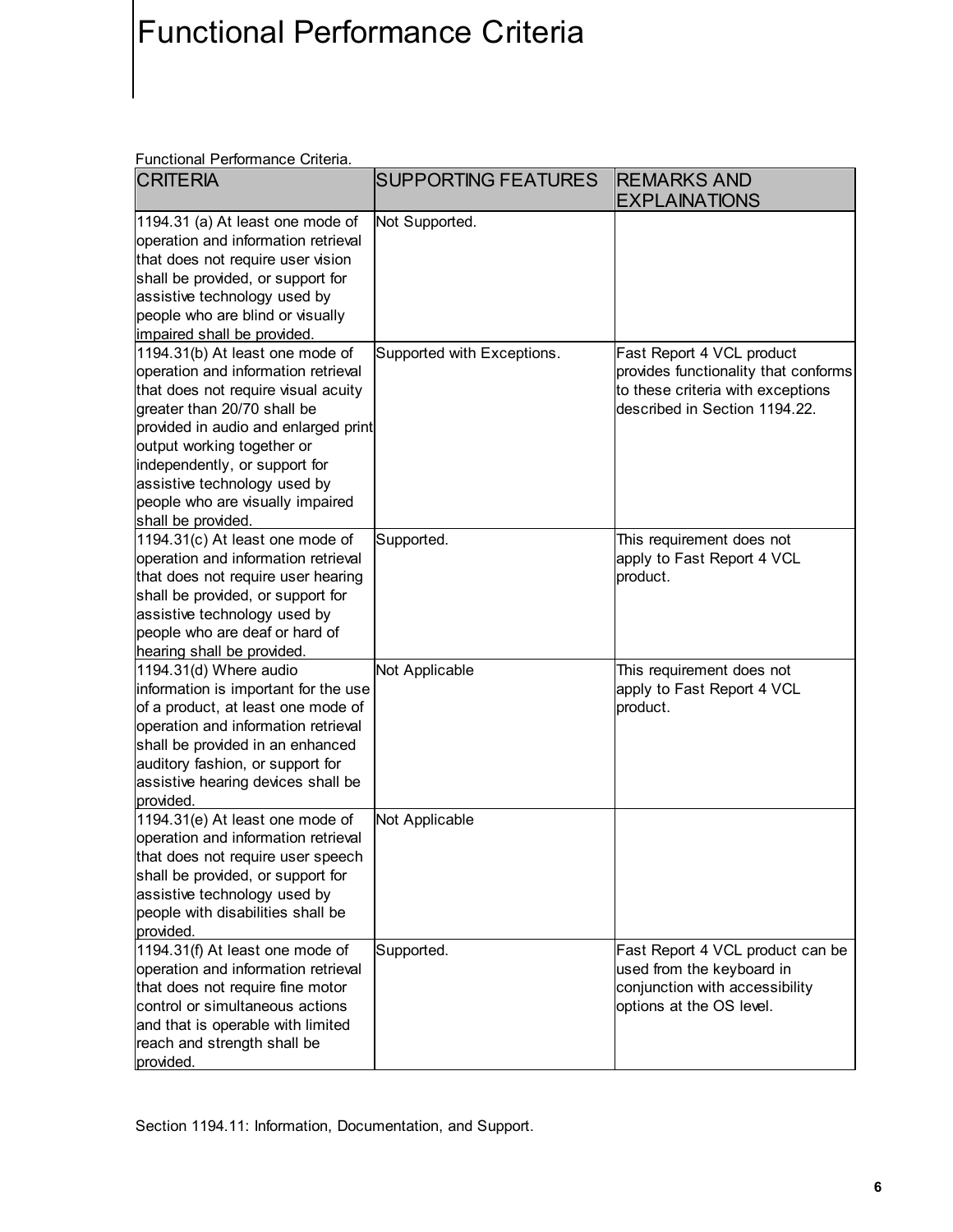### Functional Performance Criteria

Functional Performance Criteria.

| <b>CRITERIA</b>                      | <b>SUPPORTING FEATURES</b> | <b>REMARKS AND</b><br><b>EXPLAINATIONS</b> |
|--------------------------------------|----------------------------|--------------------------------------------|
| 1194.31 (a) At least one mode of     | Not Supported.             |                                            |
| operation and information retrieval  |                            |                                            |
| that does not require user vision    |                            |                                            |
| shall be provided, or support for    |                            |                                            |
| assistive technology used by         |                            |                                            |
| people who are blind or visually     |                            |                                            |
| impaired shall be provided.          |                            |                                            |
| 1194.31(b) At least one mode of      | Supported with Exceptions. | Fast Report 4 VCL product                  |
| operation and information retrieval  |                            | provides functionality that conforms       |
| that does not require visual acuity  |                            | to these criteria with exceptions          |
| greater than 20/70 shall be          |                            | described in Section 1194.22.              |
| provided in audio and enlarged print |                            |                                            |
| output working together or           |                            |                                            |
| independently, or support for        |                            |                                            |
| assistive technology used by         |                            |                                            |
| people who are visually impaired     |                            |                                            |
| shall be provided.                   |                            |                                            |
| 1194.31(c) At least one mode of      | Supported.                 | This requirement does not                  |
| operation and information retrieval  |                            | apply to Fast Report 4 VCL                 |
| that does not require user hearing   |                            | product.                                   |
| shall be provided, or support for    |                            |                                            |
| assistive technology used by         |                            |                                            |
| people who are deaf or hard of       |                            |                                            |
| hearing shall be provided.           |                            |                                            |
| 1194.31(d) Where audio               | Not Applicable             | This requirement does not                  |
| information is important for the use |                            | apply to Fast Report 4 VCL                 |
| of a product, at least one mode of   |                            | product.                                   |
| operation and information retrieval  |                            |                                            |
| shall be provided in an enhanced     |                            |                                            |
| auditory fashion, or support for     |                            |                                            |
| assistive hearing devices shall be   |                            |                                            |
| provided.                            |                            |                                            |
| 1194.31(e) At least one mode of      | Not Applicable             |                                            |
| operation and information retrieval  |                            |                                            |
| that does not require user speech    |                            |                                            |
| shall be provided, or support for    |                            |                                            |
| assistive technology used by         |                            |                                            |
| people with disabilities shall be    |                            |                                            |
| provided.                            |                            |                                            |
| 1194.31(f) At least one mode of      | Supported.                 | Fast Report 4 VCL product can be           |
| operation and information retrieval  |                            | used from the keyboard in                  |
| that does not require fine motor     |                            | conjunction with accessibility             |
| control or simultaneous actions      |                            | options at the OS level.                   |
| and that is operable with limited    |                            |                                            |
| reach and strength shall be          |                            |                                            |
| provided.                            |                            |                                            |

Section 1194.11: Information, Documentation, and Support.